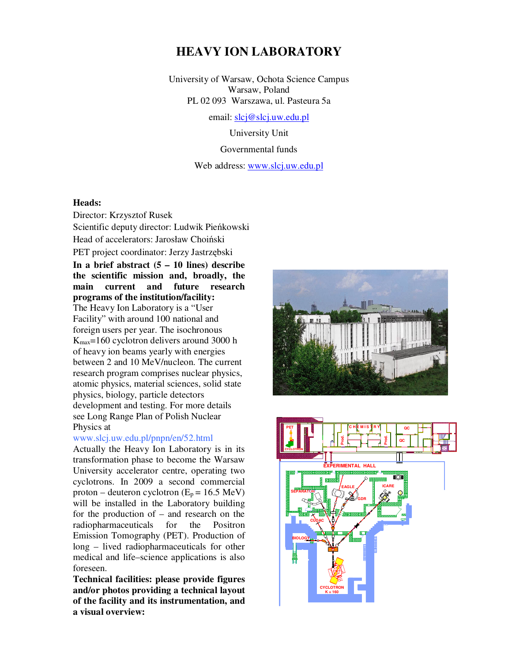# **HEAVY ION LABORATORY**

University of Warsaw, Ochota Science Campus Warsaw, Poland PL 02 093 Warszawa, ul. Pasteura 5a

email: slcj@slcj.uw.edu.pl

University Unit Governmental funds Web address: www.slcj.uw.edu.pl

## **Heads:**

Director: Krzysztof Rusek Scientific deputy director: Ludwik Pieńkowski Head of accelerators: Jarosław Choiński PET project coordinator: Jerzy Jastrzębski **In a brief abstract (5 – 10 lines) describe the scientific mission and, broadly, the main current and future research programs of the institution/facility:**  The Heavy Ion Laboratory is a "User Facility" with around 100 national and foreign users per year. The isochronous Kmax=160 cyclotron delivers around 3000 h of heavy ion beams yearly with energies between 2 and 10 MeV/nucleon. The current research program comprises nuclear physics, atomic physics, material sciences, solid state physics, biology, particle detectors development and testing. For more details see Long Range Plan of Polish Nuclear Physics at

#### www.slcj.uw.edu.pl/pnpn/en/52.html

Actually the Heavy Ion Laboratory is in its transformation phase to become the Warsaw University accelerator centre, operating two cyclotrons. In 2009 a second commercial proton – deuteron cyclotron ( $E_p = 16.5$  MeV) will be installed in the Laboratory building for the production of – and research on the radiopharmaceuticals for the Positron Emission Tomography (PET). Production of long – lived radiopharmaceuticals for other medical and life–science applications is also foreseen.

**Technical facilities: please provide figures and/or photos providing a technical layout of the facility and its instrumentation, and a visual overview:** 



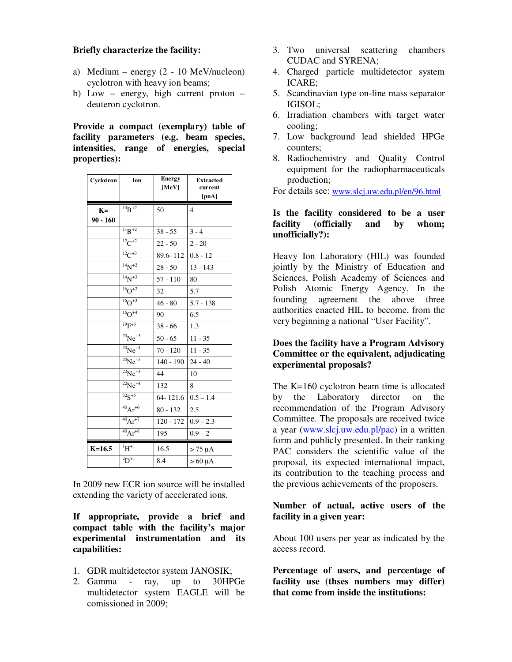## **Briefly characterize the facility:**

- a) Medium energy  $(2 10 \text{ MeV/nucleon})$ cyclotron with heavy ion beams;
- b) Low energy, high current proton deuteron cyclotron.

**Provide a compact (exemplary) table of facility parameters (e.g. beam species, intensities, range of energies, special properties):** 

| Cyclotron  | Ion            | <b>Energy</b><br>[MeV] | <b>Extracted</b><br>current<br>[pnA] |
|------------|----------------|------------------------|--------------------------------------|
| $K=$       | $10B + 2$      | 50                     | $\overline{4}$                       |
| $90 - 160$ |                |                        |                                      |
|            | $^{11}B + 2$   | $38 - 55$              | $3 - 4$                              |
|            | $^{12}C^{+2}$  | $22 - 50$              | $2 - 20$                             |
|            | $^{12}C^{+3}$  | 89.6-112               | $0.8 - 12$                           |
|            | $14N + 2$      | $28 - 50$              | $13 - 143$                           |
|            | $14N+3$        | $57 - 110$             | 80                                   |
|            | $16O + 2$      | 32                     | 5.7                                  |
|            | $^{16}O^{+3}$  | $46 - 80$              | $5.7 - 138$                          |
|            | $16O + 4$      | 90                     | 6.5                                  |
|            | $^{19}F^{+3}$  | $38 - 66$              | 1.3                                  |
|            | $^{20}Ne^{+3}$ | $50 - 65$              | $11 - 35$                            |
|            | $^{20}Ne^{+4}$ | $70 - 120$             | $11 - 35$                            |
|            | $^{20}Ne^{+5}$ | $140 - 190$            | $24 - 40$                            |
|            | $^{22}Ne^{+3}$ | 44                     | 10                                   |
|            | $^{22}Ne^{+4}$ | 132                    | 8                                    |
|            | $32s + 5$      | 64-121.6               | $0.5 - 1.4$                          |
|            | $^{40}Ar^{+6}$ | $80 - 132$             | 2.5                                  |
|            | $^{40}Ar^{+7}$ | $120 - 172$            | $0.9 - 2.3$                          |
|            | $^{40}Ar^{+8}$ | 195                    | $0.9 - 2$                            |
| $K=16.5$   | ${}^{1}H^{+1}$ | 16.5                   | $> 75 \mu A$                         |
|            | $^{2}D^{+1}$   | 8.4                    | $> 60 \mu A$                         |

In 2009 new ECR ion source will be installed extending the variety of accelerated ions.

# **If appropriate, provide a brief and compact table with the facility's major experimental instrumentation and its capabilities:**

- 1. GDR multidetector system JANOSIK;
- 2. Gamma ray, up to 30HPGe multidetector system EAGLE will be comissioned in 2009;
- 3. Two universal scattering chambers CUDAC and SYRENA;
- 4. Charged particle multidetector system ICARE;
- 5. Scandinavian type on-line mass separator IGISOL;
- 6. Irradiation chambers with target water cooling;
- 7. Low background lead shielded HPGe counters;
- 8. Radiochemistry and Quality Control equipment for the radiopharmaceuticals production;

For details see: www.slcj.uw.edu.pl/en/96.html

## **Is the facility considered to be a user facility (officially and by whom; unofficially?):**

Heavy Ion Laboratory (HIL) was founded jointly by the Ministry of Education and Sciences, Polish Academy of Sciences and Polish Atomic Energy Agency. In the founding agreement the above three authorities enacted HIL to become, from the very beginning a national "User Facility".

## **Does the facility have a Program Advisory Committee or the equivalent, adjudicating experimental proposals?**

The K=160 cyclotron beam time is allocated by the Laboratory director on the recommendation of the Program Advisory Committee. The proposals are received twice a year (www.slcj.uw.edu.pl/pac) in a written form and publicly presented. In their ranking PAC considers the scientific value of the proposal, its expected international impact, its contribution to the teaching process and the previous achievements of the proposers.

# **Number of actual, active users of the facility in a given year:**

About 100 users per year as indicated by the access record.

**Percentage of users, and percentage of facility use (thses numbers may differ) that come from inside the institutions:**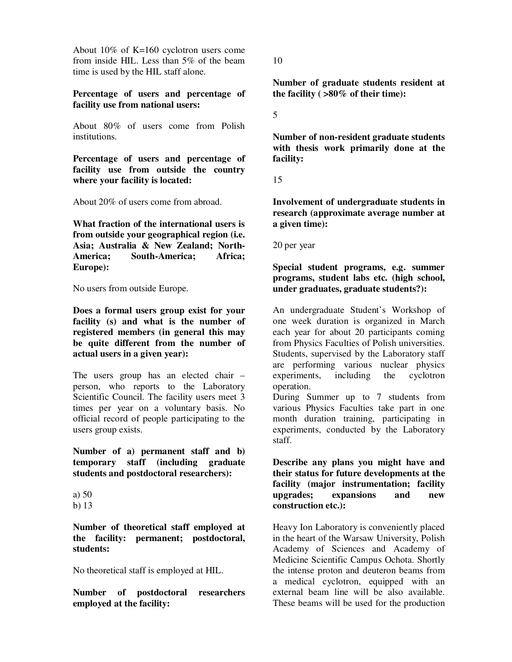About 10% of K=160 cyclotron users come from inside HIL. Less than 5% of the beam time is used by the HIL staff alone.

## **Percentage of users and percentage of facility use from national users:**

About 80% of users come from Polish institutions.

**Percentage of users and percentage of facility use from outside the country where your facility is located:** 

About 20% of users come from abroad.

**What fraction of the international users is from outside your geographical region (i.e. Asia; Australia & New Zealand; North-America; South-America; Africa; Europe):** 

No users from outside Europe.

**Does a formal users group exist for your facility (s) and what is the number of registered members (in general this may be quite different from the number of actual users in a given year):** 

The users group has an elected chair – person, who reports to the Laboratory Scientific Council. The facility users meet 3 times per year on a voluntary basis. No official record of people participating to the users group exists.

**Number of a) permanent staff and b) temporary staff (including graduate students and postdoctoral researchers):** 

**Number of theoretical staff employed at the facility: permanent; postdoctoral, students:** 

No theoretical staff is employed at HIL.

**Number of postdoctoral researchers employed at the facility:** 

10

**Number of graduate students resident at the facility ( >80% of their time):** 

5

**Number of non-resident graduate students with thesis work primarily done at the facility:** 

15

**Involvement of undergraduate students in research (approximate average number at a given time):** 

20 per year

**Special student programs, e.g. summer programs, student labs etc. (high school, under graduates, graduate students?):** 

An undergraduate Student's Workshop of one week duration is organized in March each year for about 20 participants coming from Physics Faculties of Polish universities. Students, supervised by the Laboratory staff are performing various nuclear physics experiments, including the cyclotron operation.

During Summer up to 7 students from various Physics Faculties take part in one month duration training, participating in experiments, conducted by the Laboratory staff.

**Describe any plans you might have and their status for future developments at the facility (major instrumentation; facility upgrades; expansions and new construction etc.):** 

Heavy Ion Laboratory is conveniently placed in the heart of the Warsaw University, Polish Academy of Sciences and Academy of Medicine Scientific Campus Ochota. Shortly the intense proton and deuteron beams from a medical cyclotron, equipped with an external beam line will be also available. These beams will be used for the production

a) 50

b) 13